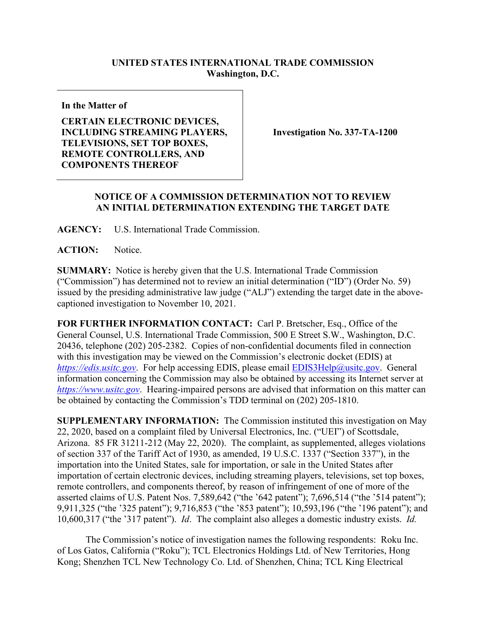## **UNITED STATES INTERNATIONAL TRADE COMMISSION Washington, D.C.**

**In the Matter of**

**CERTAIN ELECTRONIC DEVICES, INCLUDING STREAMING PLAYERS, TELEVISIONS, SET TOP BOXES, REMOTE CONTROLLERS, AND COMPONENTS THEREOF**

**Investigation No. 337-TA-1200**

## **NOTICE OF A COMMISSION DETERMINATION NOT TO REVIEW AN INITIAL DETERMINATION EXTENDING THE TARGET DATE**

**AGENCY:** U.S. International Trade Commission.

**ACTION:** Notice.

**SUMMARY:** Notice is hereby given that the U.S. International Trade Commission ("Commission") has determined not to review an initial determination ("ID") (Order No. 59) issued by the presiding administrative law judge ("ALJ") extending the target date in the abovecaptioned investigation to November 10, 2021.

**FOR FURTHER INFORMATION CONTACT:** Carl P. Bretscher, Esq., Office of the General Counsel, U.S. International Trade Commission, 500 E Street S.W., Washington, D.C. 20436, telephone (202) 205-2382. Copies of non-confidential documents filed in connection with this investigation may be viewed on the Commission's electronic docket (EDIS) at *[https://edis.usitc.gov](https://edis.usitc.gov/).* For help accessing EDIS, please email [EDIS3Help@usitc.gov.](mailto:EDIS3Help@usitc.gov) General information concerning the Commission may also be obtained by accessing its Internet server at *[https://www.usitc.gov](https://www.usitc.gov/)*. Hearing-impaired persons are advised that information on this matter can be obtained by contacting the Commission's TDD terminal on (202) 205-1810.

**SUPPLEMENTARY INFORMATION:** The Commission instituted this investigation on May 22, 2020, based on a complaint filed by Universal Electronics, Inc. ("UEI") of Scottsdale, Arizona. 85 FR 31211-212 (May 22, 2020). The complaint, as supplemented, alleges violations of section 337 of the Tariff Act of 1930, as amended, 19 U.S.C. 1337 ("Section 337"), in the importation into the United States, sale for importation, or sale in the United States after importation of certain electronic devices, including streaming players, televisions, set top boxes, remote controllers, and components thereof, by reason of infringement of one of more of the asserted claims of U.S. Patent Nos. 7,589,642 ("the '642 patent"); 7,696,514 ("the '514 patent"); 9,911,325 ("the '325 patent"); 9,716,853 ("the '853 patent"); 10,593,196 ("the '196 patent"); and 10,600,317 ("the '317 patent"). *Id*. The complaint also alleges a domestic industry exists. *Id.*

The Commission's notice of investigation names the following respondents: Roku Inc. of Los Gatos, California ("Roku"); TCL Electronics Holdings Ltd. of New Territories, Hong Kong; Shenzhen TCL New Technology Co. Ltd. of Shenzhen, China; TCL King Electrical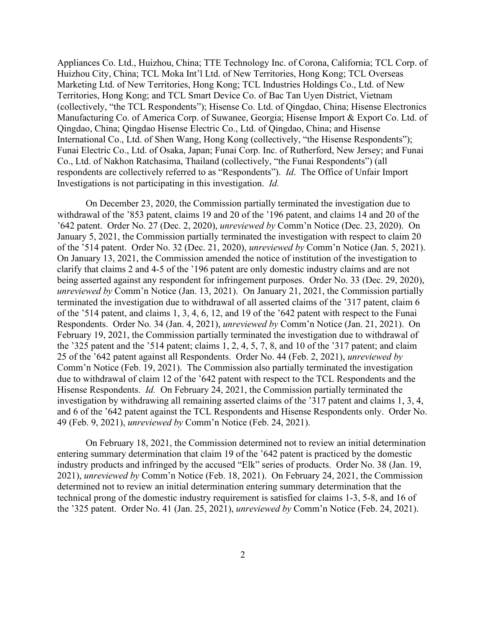Appliances Co. Ltd., Huizhou, China; TTE Technology Inc. of Corona, California; TCL Corp. of Huizhou City, China; TCL Moka Int'l Ltd. of New Territories, Hong Kong; TCL Overseas Marketing Ltd. of New Territories, Hong Kong; TCL Industries Holdings Co., Ltd. of New Territories, Hong Kong; and TCL Smart Device Co. of Bac Tan Uyen District, Vietnam (collectively, "the TCL Respondents"); Hisense Co. Ltd. of Qingdao, China; Hisense Electronics Manufacturing Co. of America Corp. of Suwanee, Georgia; Hisense Import & Export Co. Ltd. of Qingdao, China; Qingdao Hisense Electric Co., Ltd. of Qingdao, China; and Hisense International Co., Ltd. of Shen Wang, Hong Kong (collectively, "the Hisense Respondents"); Funai Electric Co., Ltd. of Osaka, Japan; Funai Corp. Inc. of Rutherford, New Jersey; and Funai Co., Ltd. of Nakhon Ratchasima, Thailand (collectively, "the Funai Respondents") (all respondents are collectively referred to as "Respondents"). *Id*. The Office of Unfair Import Investigations is not participating in this investigation. *Id.*

On December 23, 2020, the Commission partially terminated the investigation due to withdrawal of the '853 patent, claims 19 and 20 of the '196 patent, and claims 14 and 20 of the '642 patent. Order No. 27 (Dec. 2, 2020), *unreviewed by* Comm'n Notice (Dec. 23, 2020). On January 5, 2021, the Commission partially terminated the investigation with respect to claim 20 of the '514 patent. Order No. 32 (Dec. 21, 2020), *unreviewed by* Comm'n Notice (Jan. 5, 2021). On January 13, 2021, the Commission amended the notice of institution of the investigation to clarify that claims 2 and 4-5 of the '196 patent are only domestic industry claims and are not being asserted against any respondent for infringement purposes. Order No. 33 (Dec. 29, 2020), *unreviewed by* Comm'n Notice (Jan. 13, 2021). On January 21, 2021, the Commission partially terminated the investigation due to withdrawal of all asserted claims of the '317 patent, claim 6 of the '514 patent, and claims 1, 3, 4, 6, 12, and 19 of the '642 patent with respect to the Funai Respondents. Order No. 34 (Jan. 4, 2021), *unreviewed by* Comm'n Notice (Jan. 21, 2021). On February 19, 2021, the Commission partially terminated the investigation due to withdrawal of the '325 patent and the '514 patent; claims 1, 2, 4, 5, 7, 8, and 10 of the '317 patent; and claim 25 of the '642 patent against all Respondents. Order No. 44 (Feb. 2, 2021), *unreviewed by*  Comm'n Notice (Feb. 19, 2021). The Commission also partially terminated the investigation due to withdrawal of claim 12 of the '642 patent with respect to the TCL Respondents and the Hisense Respondents. *Id.* On February 24, 2021, the Commission partially terminated the investigation by withdrawing all remaining asserted claims of the '317 patent and claims 1, 3, 4, and 6 of the '642 patent against the TCL Respondents and Hisense Respondents only. Order No. 49 (Feb. 9, 2021), *unreviewed by* Comm'n Notice (Feb. 24, 2021).

On February 18, 2021, the Commission determined not to review an initial determination entering summary determination that claim 19 of the '642 patent is practiced by the domestic industry products and infringed by the accused "Elk" series of products. Order No. 38 (Jan. 19, 2021), *unreviewed by* Comm'n Notice (Feb. 18, 2021). On February 24, 2021, the Commission determined not to review an initial determination entering summary determination that the technical prong of the domestic industry requirement is satisfied for claims 1-3, 5-8, and 16 of the '325 patent. Order No. 41 (Jan. 25, 2021), *unreviewed by* Comm'n Notice (Feb. 24, 2021).